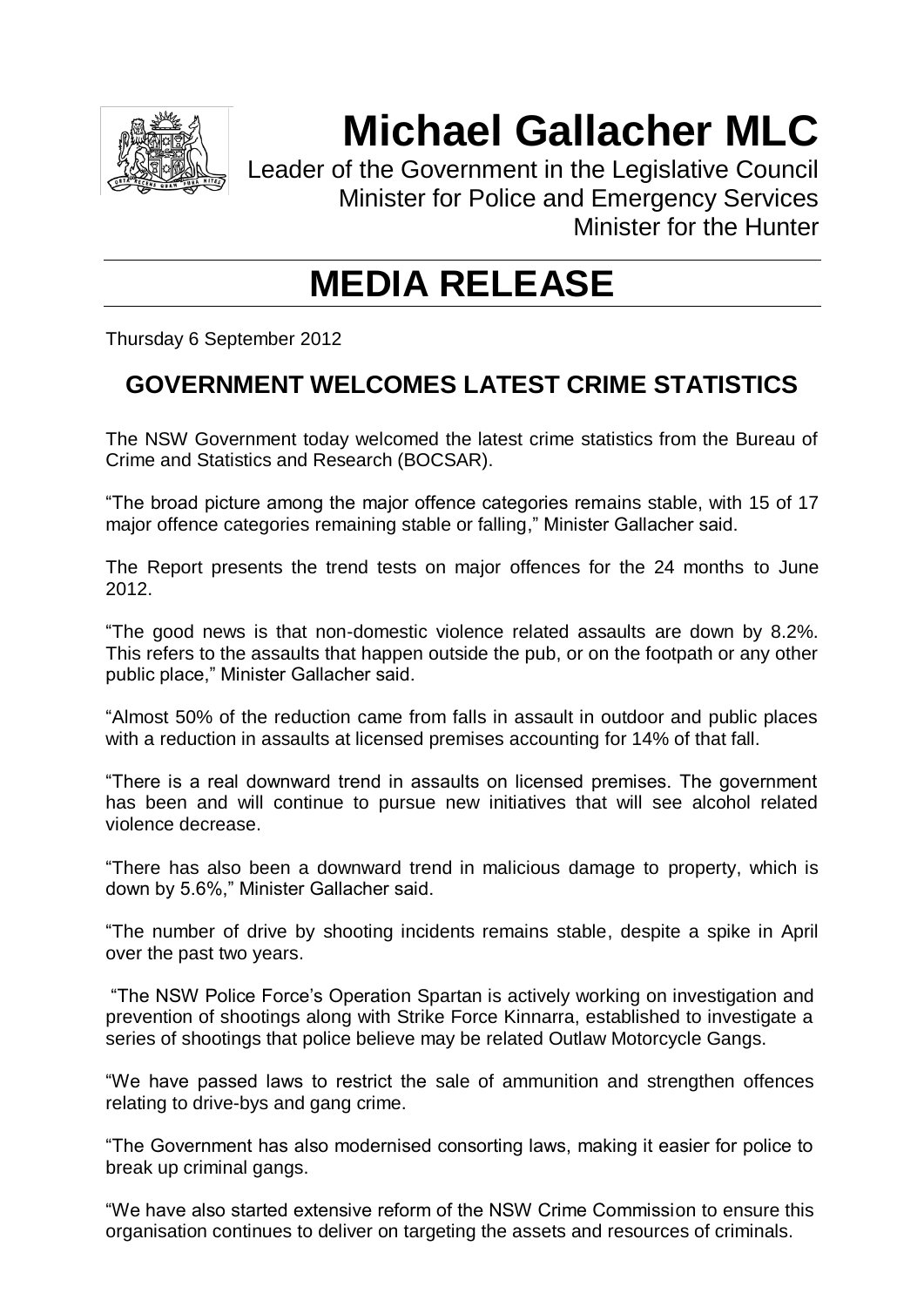

## **Michael Gallacher MLC**

Leader of the Government in the Legislative Council Minister for Police and Emergency Services Minister for the Hunter

## **MEDIA RELEASE**

Thursday 6 September 2012

## **GOVERNMENT WELCOMES LATEST CRIME STATISTICS**

The NSW Government today welcomed the latest crime statistics from the Bureau of Crime and Statistics and Research (BOCSAR).

"The broad picture among the major offence categories remains stable, with 15 of 17 major offence categories remaining stable or falling," Minister Gallacher said.

The Report presents the trend tests on major offences for the 24 months to June 2012.

"The good news is that non-domestic violence related assaults are down by 8.2%. This refers to the assaults that happen outside the pub, or on the footpath or any other public place," Minister Gallacher said.

"Almost 50% of the reduction came from falls in assault in outdoor and public places with a reduction in assaults at licensed premises accounting for 14% of that fall.

"There is a real downward trend in assaults on licensed premises. The government has been and will continue to pursue new initiatives that will see alcohol related violence decrease.

"There has also been a downward trend in malicious damage to property, which is down by 5.6%," Minister Gallacher said.

"The number of drive by shooting incidents remains stable, despite a spike in April over the past two years.

"The NSW Police Force's Operation Spartan is actively working on investigation and prevention of shootings along with Strike Force Kinnarra, established to investigate a series of shootings that police believe may be related Outlaw Motorcycle Gangs.

"We have passed laws to restrict the sale of ammunition and strengthen offences relating to drive-bys and gang crime.

"The Government has also modernised consorting laws, making it easier for police to break up criminal gangs.

"We have also started extensive reform of the NSW Crime Commission to ensure this organisation continues to deliver on targeting the assets and resources of criminals.